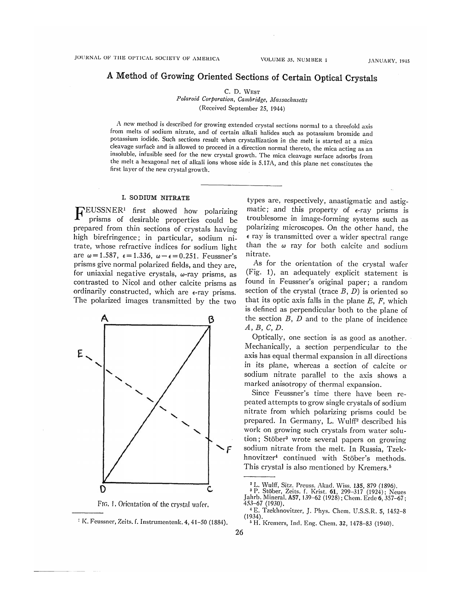# A Method of Growing Oriented Sections of Certain Optical Crystals

C. D. WEST

*Polaroid Corporation, Cambridge, Massachusetts*  (Received September 25, 1944)

A new method is described for growing extended crystal sections normal to a threefold axis from melts of sodium nitrate, and of certain alkali halides such as potassium bromide and potassium iodide. Such sections result when crystallization in the melt is started at a mica cleavage surface and is allowed to proceed in a direction normal thereto, the mica acting as an insoluble, infusible seed for the new crystal growth. The mica cleavage surface adsorbs from the melt a hexagonal net of alkali ions whose side is 5.17A, and this plane net constitutes the first layer of the new crystal growth.

## **I. SODIUM NITRATE**

**FEUSSNER<sup>1</sup>** first showed how polarizing prisms of desirable properties could be prepared from thin sections of crystals having high birefringence; in particular, sodium nitrate, whose refractive indices for sodium light are  $\omega = 1.587$ ,  $\epsilon = 1.336$ ,  $\omega - \epsilon = 0.251$ . Feussner's prisms give normal polarized fields, and they are, for uniaxial negative crystals,  $\omega$ -ray prisms, as contrasted to Nicol and other calcite prisms as ordinarily constructed, which are ε-ray prisms. The polarized images transmitted by the two



FIG. 1. Orientation of the crystal wafer.

types are, respectively, anastigmatic and astigmatic; and this property of  $\epsilon$ -ray prisms is troublesome in image-forming systems such as polarizing microscopes. On the other hand, the  $\epsilon$  ray is transmitted over a wider spectral range than the  $\omega$  ray for both calcite and sodium nitrate.

As for the orientation of the crystal wafer (Fig. 1), an adequately explicit statement is found in Feussner's original paper; a random section of the crystal (trace *B, D)* is oriented so that its optic axis falls in the plane *E, F,* which is defined as perpendicular both to the plane of the section *B, D* and to the plane of incidence *A, B, C, D.* 

Optically, one section is as good as another. Mechanically, a section perpendicular *to* the axis has equal thermal expansion in all directions in its plane, whereas a section of calcite or sodium nitrate parallel to the axis shows a marked anisotropy of thermal expansion.

Since Feussner's time there have been repeated attempts to grow single crystals of sodium nitrate from which polarizing prisms could be prepared. In Germany, L. Wulff<sup>2</sup> described his work on growing such crystals from water solution; Stöber<sup>3</sup> wrote several papers on growing sodium nitrate from the melt. In Russia, Tzekhnovitzer<sup>4</sup> continued with Stöber's methods. This crystal is also mentioned by Kremers.<sup>5</sup>

<sup>:</sup> K. Feussner, Zeits. f. Instrumentenk. 4, 41-50 (1884).

<sup>2</sup> L. Wulff, Sitz. Preuss. Akad. Wiss. **135,** 879 (1896).

<sup>3</sup> P. Stöber, Zeits. f. Krist. 61, 299-317 (1924); Neues

Jahrb. Mineral. A57, 139-62 (1928); Chem. Erde 6, 357-67; 453-67 (1930).

<sup>4</sup> E. Tzekhnovitzer, J. Phys. Chem. U.S.S.R. 5, 1452-8 (1934).

<sup>5</sup> H. Kremers, Ind. Eng. Chem. 32, 1478-83 (1940).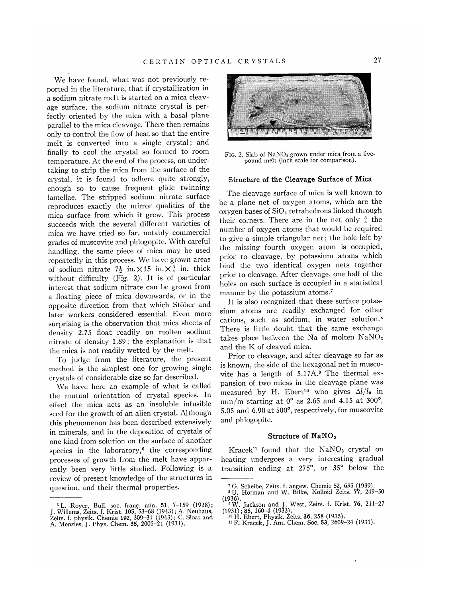We have found, what was not previously reported in the literature, that if crystallization in a sodium nitrate melt is started on a mica cleavage surface, the sodium nitrate crystal is perfectly oriented by the mica with a basal plane parallel to the mica cleavage. There then remains only to control the flow of heat so that the entire melt is converted into a single crystal; and finally to cool the crystal so formed to room temperature. At the end of the process, on undertaking to strip the mica from the surface of the crystal, it is found to adhere quite strongly, enough so to cause frequent glide twinning lamellae. The stripped sodium nitrate surface reproduces exactly the mirror qualities of the mica surface from which it grew. This process succeeds with the several different varieties of mica we have tried so far, notably commercial grades of muscovite and phlogopite. With careful handling, the same piece of mica may be used repeatedly in this process. We have grown areas of sodium nitrate  $7\frac{1}{2}$  in.  $\times$  15 in.  $\times$   $\frac{3}{4}$  in. thick without difficulty (Fig. 2). It is of particular interest that sodium nitrate can be grown from a floating piece of mica downwards, or in the opposite direction from that which Stöber and later workers considered essential. Even more surprising is the observation that mica sheets of density 2.75 float readily on molten sodium nitrate of density 1.89; the explanation is that the mica is not readily wetted by the melt.

To judge from the literature, the present method is the simplest one for growing single crystals of considerable size so far described.

We have here an example of what is called the mutual orientation of crystal species. In effect the mica acts as an insoluble infusible seed for the growth of an alien crystal. Although this phenomenon has been described extensively in minerals, and in the deposition of crystals of one kind from solution on the surface of another species in the laboratory, $6$  the corresponding processes of growth from the melt have apparently been very little studied. Following is a review of present knowledge of the structures in question, and their thermal properties.



FIG. 2. Slab of NaNO<sub>3</sub> grown under mica from a fivepound melt (inch scale for comparison).

#### Structure of **the** Cleavage Surface of Mica

The cleavage surface of mica is well known to be a plane net of oxygen atoms, which are the oxygen bases of  $SiO<sub>4</sub>$  tetrahedrons linked through their corners. There are in the net only  $\frac{3}{4}$  the number of oxygen atoms that would be required to give a simple triangular net; the hole left by the missing fourth oxygen atom is occupied, prior to cleavage, by potassium atoms which bind the two identical oxygen nets together prior to cleavage. After cleavage, one half of the holes on each surface is occupied in a statistical manner by the potassium atoms.<sup>7</sup>

It is also recognized that these surface potassium atoms are readily exchanged for other cations, such as sodium, in water solution.<sup>8</sup> There is little doubt that the same exchange takes place between the Na of molten  $NaNO<sub>3</sub>$ and the K of cleaved mica.

Prior to cleavage, and after cleavage so far as is known, the side of the hexagonal net in muscovite has a length of  $5.17A$ .<sup>9</sup> The thermal expansion of two micas in the cleavage plane was measured by H. Ebert<sup>10</sup> who gives *Δl/l0* in mm/m starting at  $0^{\circ}$  as 2.65 and 4.15 at 300 $^{\circ}$ , 5.05 and 6.90 at 500°, respectively, for muscovite and phlogopite.

#### **Structure of NaNO<sup>3</sup>**

Kracek<sup>11</sup> found that the NaNO<sub>3</sub> crystal on heating undergoes a very interesting gradual transition ending at 275°, or 35° below the

<sup>6</sup> L. Royer, Bull. soc. franç, min. **51,** 7-159 (1928); J. Willems, Zeits. f. Krist. **105,** 53-68 (1943); A. Neuhaus, Zeits. f. physik. Chemie 192, 309-31 (1943); C. Sloat and A. Menzies, J. Phys. Chem. 35, 2005-21 (1931).

*<sup>7</sup>* G. Scheibe, Zeits. f. angew. Chemie 52, 635 (1939). 8 U. Hofman and W. Bilke, Kolloid Zeits. 77, 249-50

<sup>(1936).</sup> 

<sup>9</sup> W. Jackson and J. West, Zeits. f. Krist. 76, 211-27 (1931); 85, 160-4 (1933).

<sup>10</sup> H. Ebert, Physik. Zeits. 36, 258 (1935).

<sup>11</sup> F. Kracek, J. Am. Chem. Soc. 53, 2609-24 (1931).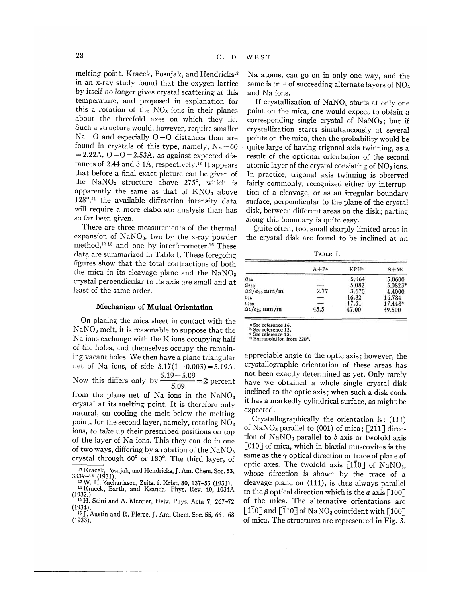melting point. Kracek, Posnjak, and Hendricks<sup>12</sup> in an x-ray study found that the oxygen lattice by itself no longer gives crystal scattering at this temperature, and proposed in explanation for this a rotation of the  $NO<sub>3</sub>$  ions in their planes about the threefold axes on which they lie. Such a structure would, however, require smaller  $Na-O$  and especially  $O-O$  distances than are found in crystals of this type, namely,  $Na - 60$  $= 2.22A$ ,  $O - O = 2.53A$ , as against expected distances of 2.44 and 3.1A, respectively.<sup>13</sup> It appears that before a final exact picture can be given of the  $\text{NaNO}_3$  structure above 275°, which is apparently the same as that of  $KNO<sub>3</sub>$  above  $128^\circ$ ,<sup>14</sup> the available diffraction intensity data will require a more elaborate analysis than has so far been given.

There are three measurements of the thermal expansion of  $\text{NaNO}_3$ , two by the x-ray powder method,<sup>12,15</sup> and one by interferometer.<sup>16</sup> These data are summarized in Table I. These foregoing figures show that the total contractions of both the mica in its cleavage plane and the  $NaNO<sub>3</sub>$ crystal perpendicular to its axis are small and at least of the same order.

### **Mechanism of Mutual Orientation**

On placing the mica sheet in contact with the  $NaNO<sub>3</sub>$  melt, it is reasonable to suppose that the Na ions exchange with the K ions occupying half of the holes, and themselves occupy the remaining vacant holes. We then have a plane triangular net of Na ions, of side  $5.17(1+0.003) = 5.19A$ . Now this differs only by  $\frac{5.19 - 5.09}{7.00} = 2$  percent from the plane net of Na ions in the  $NaNO<sub>3</sub>$ crystal at its melting point. It is therefore only natural, on cooling the melt below the melting point, for the second layer, namely, rotating  $NO<sub>3</sub>$ ions, *to* take up their prescribed positions on top of the layer of Na ions. This they can do in one of two ways, differing by a rotation of the  $NaNO<sub>3</sub>$ crystal through 60° or 180°. The third layer, of 12 Kracek, Posnjak, and Hendricks, J. Am. Chem. Soc. 53,

Na atoms, can go on in only one way, and the same is true of succeeding alternate layers of  $\rm NO_3$ and Na ions.

If crystallization of  $\text{NaNO}_3$  starts at only one point on the mica, one would expect to obtain a corresponding single crystal of  $\text{NaNO}_3$ ; but if crystallization starts simultaneously at several points on the mica, then the probability would be quite large of having trigonal axis twinning, as a result of the optional orientation of the second atomic layer of the crystal consisting of  $NO<sub>3</sub>$  ions. In practice, trigonal axis twinning is observed fairly commonly, recognized either by interruption of a cleavage, or as an irregular boundary surface, perpendicular to the plane of the crystal disk, between different areas on the disk; parting along this boundary is quite easy.

Quite often, too, small sharply limited areas in the crystal disk are found to be inclined at an

| TABLE I.               |          |             |         |
|------------------------|----------|-------------|---------|
|                        | $A + Pa$ | <b>KPHb</b> | $S+Me$  |
| $a_{25}$               |          | 5.064       | 5.0600  |
| $a_{280}$              |          | 5.082       | 5.0823* |
| $\Delta a/a_{25}$ mm/m | 2.77     | 3.670       | 4.4000  |
| $C_{25}$               | —        | 16.82       | 16.784  |
| $C_{280}$              |          | 17.61       | 17.448* |
| $\Delta c/c_{25}$ mm/m | 45.5     | 47.00       | 39.500  |

a See reference 16.<br>b See reference 12.<br>e See reference 15.<br>\* Extrapolation from 220°.

appreciable angle to the optic axis; however, the crystallographic orientation of these areas has not been exactly determined as yet. Only rarely have we obtained a whole single crystal disk inclined to the optic axis; when such a disk cools it has a markedly cylindrical surface, as might be expected.

Crystallographically the orientation is: (111) of NaNO<sub>3</sub> parallel to (001) of mica;  $\lceil 2\overline{1}\overline{1}\rceil$  direction of  $NaNO<sub>3</sub>$  parallel to *b* axis or twofold axis [010] of mica, which in biaxial muscovites is the same as the *γ* optical direction or trace of plane of optic axes. The twofold axis  $[1\overline{1}0]$  of NaNO<sub>3</sub>, whose direction is shown by the trace of a cleavage plane on (111), is thus always parallel to the *β* optical direction which is the *a* axis [100] of the mica. The alternative orientations are  $\lceil 1\overline{1}0\rceil$  and  $\lceil \overline{1}10\rceil$  of NaNO<sub>3</sub> coincident with  $\lceil 100\rceil$ of mica. The structures are represented in Fig. 3.

<sup>3339-48 (1931).</sup>  13 W. H. Zachariasen, Zeits. f. Krist. 80, 137–53 (1931).<br><sup>14 Krocek,</sup> Barth, and Ksanda, Phys. Bey. 40, 1934A

<sup>&</sup>lt;sup>14</sup> Kracek, Barth, and Ksanda, Phys. Rev. 40, 1034A (1932.) 15 H. Saini and A. Mercier, Helv. Phys. Acta 7, 267-72

<sup>(1934).</sup>  10 J. Austin and R. Pierce, J. Am. Chem. Soc. 55, 661-68 (1933).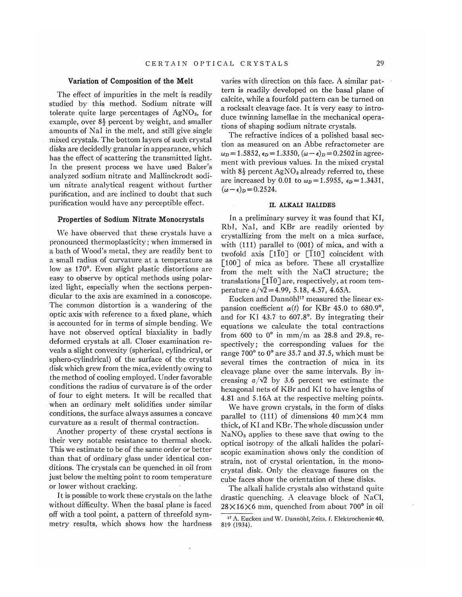## **Variation of Composition of the Melt**

The effect of impurities in the melt is readily studied by this method. Sodium nitrate will tolerate quite large percentages of  $AgNO<sub>3</sub>$ , for example, over  $8\frac{1}{2}$  percent by weight, and smaller amounts of Nal in the melt, and still give single mixed crystals. The bottom layers of such crystal disks are decidedly granular in appearance, which has the effect of scattering the transmitted light. In the present process we have used Baker's analyzed sodium nitrate and Mallinckrodt sodium nitrate analytical reagent without further purification, and are inclined to doubt that such purification would have any perceptible effect.

## **Properties of Sodium Nitrate Monocrystals**

We have observed that these crystals have a pronounced thermoplasticity; when immersed in a bath of Wood's metal, they are readily bent to a small radius of curvature at a temperature as low as 170°. Even slight plastic distortions are easy to observe by optical methods using polarized light, especially when the sections perpendicular to the axis are examined in a conoscope. The common distortion is a wandering of the optic axis with reference to a fixed plane, which is accounted for in terms of simple bending. We have not observed optical biaxiality in badly deformed crystals at all. Closer examination reveals a slight convexity (spherical, cylindrical, or sphero-cylindrical) of the surface of the crystal disk which grew from the mica, evidently owing to the method of cooling employed. Under favorable conditions the radius of curvature is of the order of four to eight meters. It will be recalled that when an ordinary melt solidifies under similar conditions, the surface always assumes a concave curvature as a result of thermal contraction.

Another property of these crystal sections is their very notable resistance to thermal shock. This we estimate to be of the same order or better than that of ordinary glass under identical conditions. The crystals can be quenched in oil from just below the melting point to room temperature or lower without cracking.

It is possible to work these crystals on the lathe without difficulty. When the basal plane is faced off with a tool point, a pattern of threefold symmetry results, which shows how the hardness

varies with direction on this face. A similar pattern is readily developed on the basal plane of calcite, while a fourfold pattern can be turned on a rocksalt cleavage face. It is very easy to introduce twinning lamellae in the mechanical operations of shaping sodium nitrate crystals.

The refractive indices of a polished basal section as measured on an Abbe refractometer are  $\omega_D = 1.5852$ ,  $\epsilon_D = 1.3350$ ,  $(\omega - \epsilon)_D = 0.2502$  in agreement with previous values. In the mixed crystal with  $8\frac{1}{2}$  percent AgNO<sub>3</sub> already referred to, these are increased by 0.01 to  $\omega_p = 1.5955$ ,  $\epsilon_p = 1.3431$ ,  $(\omega - \epsilon)_D = 0.2524.$ 

#### **II. ALKALI HALIDES**

In a preliminary survey it was found that KI, Rbl, Nal, and KBr are readily oriented by crystallizing from the melt on a mica surface, with (111) parallel to (001) of mica, and with a twofold axis  $\lceil 1\overline{1}0\rceil$  or  $\lceil \overline{1}10\rceil$  coincident with [100] of mica as before. These all crystallize from the melt with the NaCl structure; the translations  $\lceil 110 \rceil$  are, respectively, at room temperature  $a/\sqrt{2} = 4.99, 5.18, 4.57, 4.65$ A.

Eucken and Dannöhl<sup>17</sup> measured the linear expansion coefficient  $\alpha(t)$  for KBr 45.0 to 680.9°, and for KI 43.7 to 607.8°. By integrating their equations we calculate the total contractions from 600 to  $0^{\circ}$  in mm/m as 28.8 and 29.8, respectively; the corresponding values for the range 700° to 0° are 35.7 and 37.5, which must be several times the contraction of mica in its cleavage plane over the same intervals. By increasing  $a/\sqrt{2}$  by 3.6 percent we estimate the hexagonal nets of KBr and KI to have lengths of 4.81 and 5.16A at the respective melting points.

We have grown crystals, in the form of disks parallel to (111) of dimensions 40 mm $\times$ 4 mm thick, of KI and KBr. The whole discussion under NaNO3 applies to these save that owing to the optical isotropy of the alkali halides the polariscopic examination shows only the condition of strain, not of crystal orientation, in the monocrystal disk. Only the cleavage fissures on the cube faces show the orientation of these disks.

The alkali halide crystals also withstand quite drastic quenching. A cleavage block of NaCl,  $28\times16\times6$  mm, quenched from about 700 $^{\circ}$  in oil

<sup>&</sup>lt;sup>17</sup> A. Eucken and W. Dannöhl, Zeits. f. Elektrochemie 40, 819 (1934).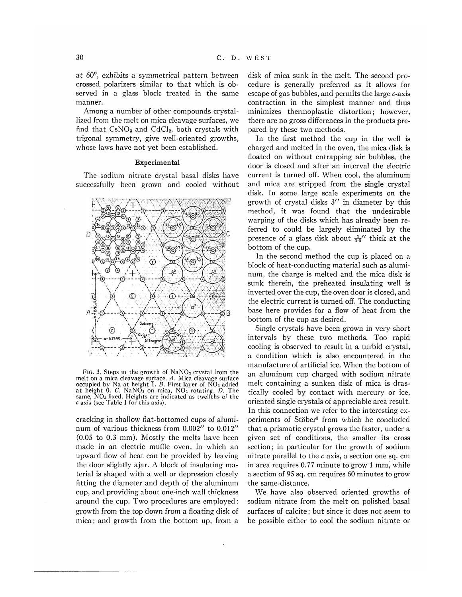at *60°,* exhibits a symmetrical pattern between crossed polarizers similar to that which is observed in a glass block treated in the same manner.

Among a number of other compounds crystallized from the melt on mica cleavage surfaces, we find that  $\text{CsNO}_3$  and  $\text{CdCl}_2$ , both crystals with trigonal symmetry, give well-oriented growths, whose laws have not yet been established.

#### Experimental

The sodium nitrate crystal basal disks have successfully been grown and cooled without



FIG. 3. Steps in the growth of  $NaNO<sub>3</sub>$  crystal from the melt on a mica cleavage surface. *A.* Mica cleavage surface occupied by Na at height  $\overline{1}$ . B. First layer of  $\overline{NO_3}$  added at height 0. *C.* NaNO3 on mica, NO3 rotating. *D.* The same, NO<sub>3</sub> fixed. Heights are indicated as twelfths of the *c* axis (see Table I for this axis).

cracking in shallow flat-bottomed cups of aluminum of various thickness from 0.002" to 0.012" (0.05 to 0.3 mm). Mostly the melts have been made in an electric muffle oven, in which an upward flow of heat can be provided by leaving the door slightly ajar. A block of insulating material is shaped with a well or depression closely fitting the diameter and depth of the aluminum cup, and providing about one-inch wall thickness around the cup. Two procedures are employed: growth from the top down from a floating disk of mica; and growth from the bottom up, from a disk of mica sunk in the melt. The second procedure is generally preferred as it allows for escape of gas bubbles, and permits the large c-axis contraction in the simplest manner and thus minimizes thermoplastic distortion; however, there are no gross differences in the products prepared by these two methods.

In the first method the cup in the well is charged and melted in the oven, the mica disk is floated on without entrapping air bubbles, the door is closed and after an interval the electric current is turned off. When cool, the aluminum and mica are stripped from the single crystal disk. In some large scale experiments on the growth of crystal disks  $3''$  in diameter by this method, it was found that the undesirable warping of the disks which has already been referred to could be largely eliminated by the presence of a glass disk about  $\frac{1}{16}$ " thick at the bottom of the cup.

In the second method the cup is placed on a block of heat-conducting material such as aluminum, the charge is melted and the mica disk is sunk therein, the preheated insulating well is inverted over the cup, the oven door is closed, and the electric current is turned off. The conducting base here provides for a flow of heat from the bottom of the cup as desired.

Single crystals have been grown in very short intervals by these two methods. Too rapid cooling is observed to result in a turbid crystal, a condition which is also encountered in the manufacture of artificial ice. When the bottom of an aluminum cup charged with sodium nitrate melt containing a sunken disk of mica is drastically cooled by contact with mercury or ice, oriented single crystals of appreciable area result. In this connection we refer to the interesting experiments of Stöber<sup>3</sup> from which he concluded that a prismatic crystal grows the faster, under a given set of conditions, the smaller its cross section; in particular for the growth of sodium nitrate parallel to the *c* axis, a section one sq. cm in area requires 0.77 minute to grow 1 mm, while a section of 95 sq. cm requires 60 minutes to grow the same distance.

We have also observed oriented growths of sodium nitrate from the melt on polished basal surfaces of calcite; but since it does not seem to be possible either to cool the sodium nitrate or